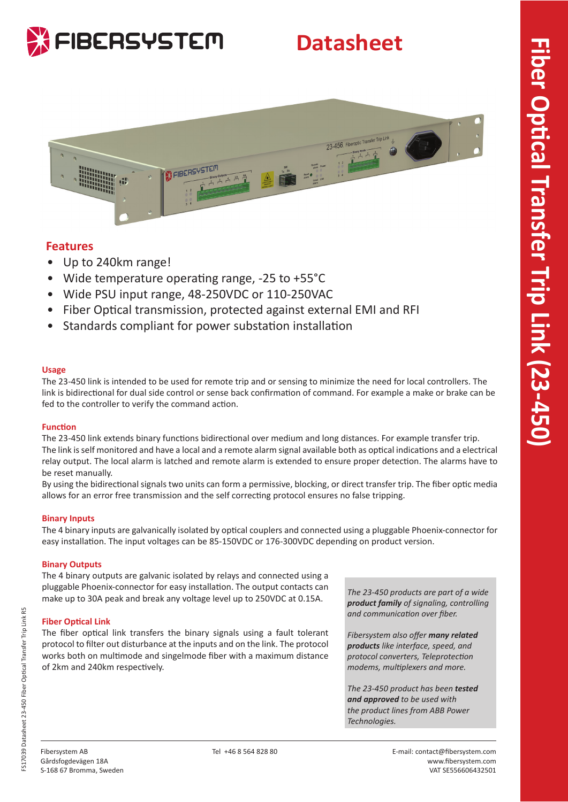

# **Datasheet**



## **Features**

- Up to 240km range!
- Wide temperature operating range, -25 to +55°C
- Wide PSU input range, 48-250VDC or 110-250VAC
- Fiber Optical transmission, protected against external EMI and RFI
- Standards compliant for power substation installation

### **Usage**

The 23-450 link is intended to be used for remote trip and or sensing to minimize the need for local controllers. The link is bidirectional for dual side control or sense back confirmation of command. For example a make or brake can be fed to the controller to verify the command action.

### **Function**

The 23-450 link extends binary functions bidirectional over medium and long distances. For example transfer trip. The link is self monitored and have a local and a remote alarm signal available both as optical indications and a electrical relay output. The local alarm is latched and remote alarm is extended to ensure proper detection. The alarms have to be reset manually.

By using the bidirectional signals two units can form a permissive, blocking, or direct transfer trip. The fiber optic media allows for an error free transmission and the self correcting protocol ensures no false tripping.

### **Binary Inputs**

The 4 binary inputs are galvanically isolated by optical couplers and connected using a pluggable Phoenix-connector for easy installation. The input voltages can be 85-150VDC or 176-300VDC depending on product version.

### **Binary Outputs**

The 4 binary outputs are galvanic isolated by relays and connected using a pluggable Phoenix-connector for easy installation. The output contacts can make up to 30A peak and break any voltage level up to 250VDC at 0.15A.

### **Fiber Optical Link**

The fiber optical link transfers the binary signals using a fault tolerant protocol to filter out disturbance at the inputs and on the link. The protocol works both on multimode and singelmode fiber with a maximum distance of 2km and 240km respectively.

*The 23-450 products are part of a wide product family of signaling, controlling and communication over fiber.* 

*Fibersystem also offer many related products like interface, speed, and protocol converters, Teleprotection modems, multiplexers and more.* 

*The 23-450 product has been tested and approved to be used with the product lines from ABB Power Technologies.*

R5